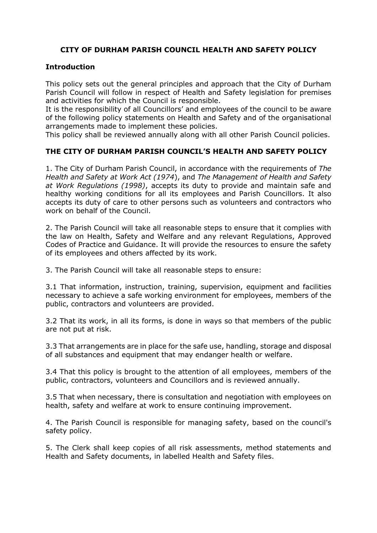## **CITY OF DURHAM PARISH COUNCIL HEALTH AND SAFETY POLICY**

## **Introduction**

This policy sets out the general principles and approach that the City of Durham Parish Council will follow in respect of Health and Safety legislation for premises and activities for which the Council is responsible.

It is the responsibility of all Councillors' and employees of the council to be aware of the following policy statements on Health and Safety and of the organisational arrangements made to implement these policies.

This policy shall be reviewed annually along with all other Parish Council policies.

## **THE CITY OF DURHAM PARISH COUNCIL'S HEALTH AND SAFETY POLICY**

1. The City of Durham Parish Council, in accordance with the requirements of *The Health and Safety at Work Act (1974*), and *The Management of Health and Safety at Work Regulations (1998)*, accepts its duty to provide and maintain safe and healthy working conditions for all its employees and Parish Councillors. It also accepts its duty of care to other persons such as volunteers and contractors who work on behalf of the Council.

2. The Parish Council will take all reasonable steps to ensure that it complies with the law on Health, Safety and Welfare and any relevant Regulations, Approved Codes of Practice and Guidance. It will provide the resources to ensure the safety of its employees and others affected by its work.

3. The Parish Council will take all reasonable steps to ensure:

3.1 That information, instruction, training, supervision, equipment and facilities necessary to achieve a safe working environment for employees, members of the public, contractors and volunteers are provided.

3.2 That its work, in all its forms, is done in ways so that members of the public are not put at risk.

3.3 That arrangements are in place for the safe use, handling, storage and disposal of all substances and equipment that may endanger health or welfare.

3.4 That this policy is brought to the attention of all employees, members of the public, contractors, volunteers and Councillors and is reviewed annually.

3.5 That when necessary, there is consultation and negotiation with employees on health, safety and welfare at work to ensure continuing improvement.

4. The Parish Council is responsible for managing safety, based on the council's safety policy.

5. The Clerk shall keep copies of all risk assessments, method statements and Health and Safety documents, in labelled Health and Safety files.